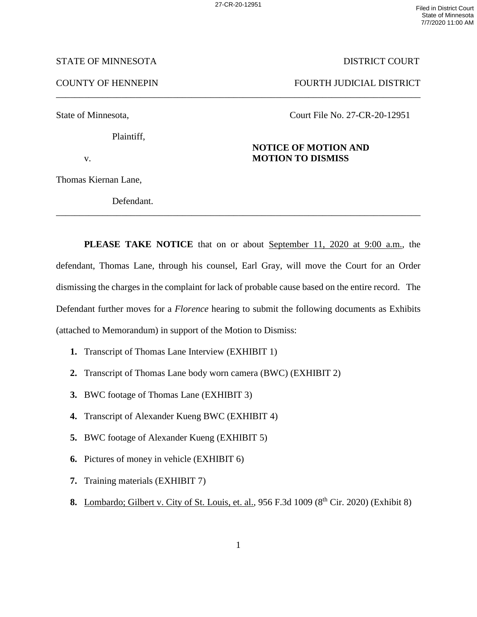\_\_\_\_\_\_\_\_\_\_\_\_\_\_\_\_\_\_\_\_\_\_\_\_\_\_\_\_\_\_\_\_\_\_\_\_\_\_\_\_\_\_\_\_\_\_\_\_\_\_\_\_\_\_\_\_\_\_\_\_\_\_\_\_\_\_\_\_\_\_\_\_\_\_\_\_\_\_

## STATE OF MINNESOTA DISTRICT COURT

COUNTY OF HENNEPIN FOURTH JUDICIAL DISTRICT

Plaintiff,

State of Minnesota, Court File No. 27-CR-20-12951

## **NOTICE OF MOTION AND**  v. **MOTION TO DISMISS**

Thomas Kiernan Lane,

 Defendant. \_\_\_\_\_\_\_\_\_\_\_\_\_\_\_\_\_\_\_\_\_\_\_\_\_\_\_\_\_\_\_\_\_\_\_\_\_\_\_\_\_\_\_\_\_\_\_\_\_\_\_\_\_\_\_\_\_\_\_\_\_\_\_\_\_\_\_\_\_\_\_\_\_\_\_\_\_\_

**PLEASE TAKE NOTICE** that on or about September 11, 2020 at 9:00 a.m., the defendant, Thomas Lane, through his counsel, Earl Gray, will move the Court for an Order dismissing the charges in the complaint for lack of probable cause based on the entire record. The Defendant further moves for a *Florence* hearing to submit the following documents as Exhibits (attached to Memorandum) in support of the Motion to Dismiss:

- **1.** Transcript of Thomas Lane Interview (EXHIBIT 1)
- **2.** Transcript of Thomas Lane body worn camera (BWC) (EXHIBIT 2)
- **3.** BWC footage of Thomas Lane (EXHIBIT 3)
- **4.** Transcript of Alexander Kueng BWC (EXHIBIT 4)
- **5.** BWC footage of Alexander Kueng (EXHIBIT 5)
- **6.** Pictures of money in vehicle (EXHIBIT 6)
- **7.** Training materials (EXHIBIT 7)
- **8.** Lombardo; Gilbert v. City of St. Louis, et. al., 956 F.3d 1009 (8<sup>th</sup> Cir. 2020) (Exhibit 8)